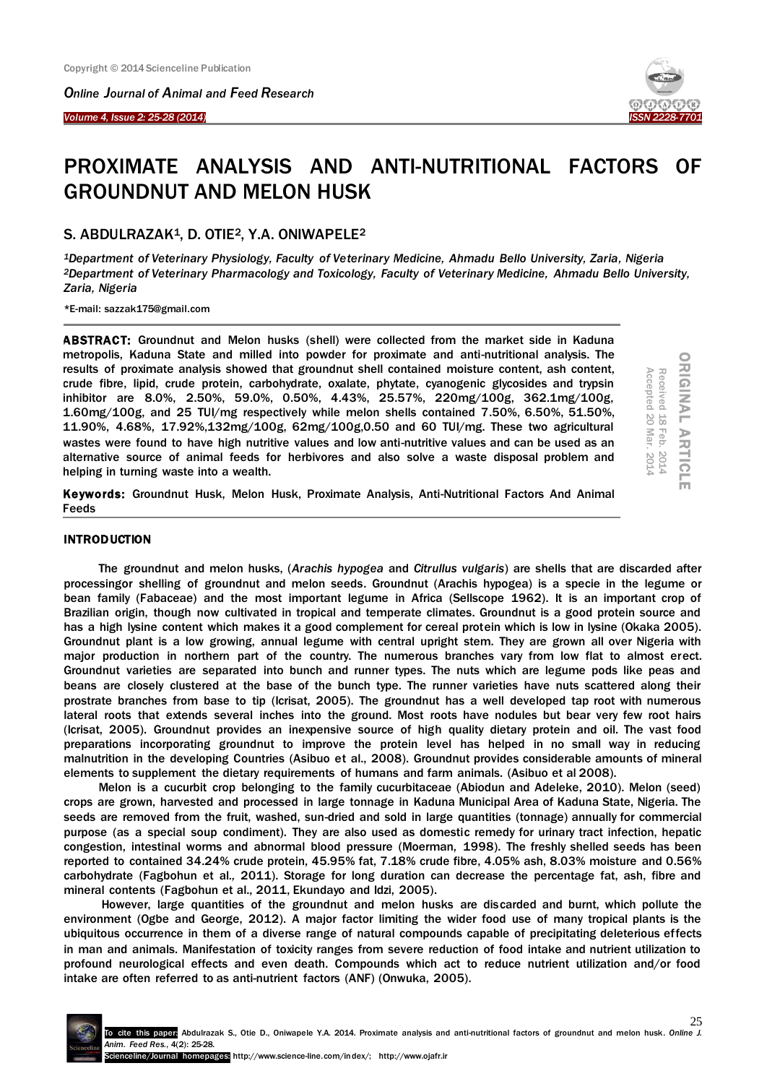*Online Journal of Animal and Feed Research* 

*Volume 4, Issue 2: 25-28 (2014)* 

Ī



# PROXIMATE ANALYSIS AND ANTI-NUTRITIONAL FACTORS OF GROUNDNUT AND MELON HUSK

## S. ABDULRAZAK1, D. OTIE2, Y.A. ONIWAPELE<sup>2</sup>

*<sup>1</sup>Department of Veterinary Physiology, Faculty of Veterinary Medicine, Ahmadu Bello University, Zaria, Nigeria <sup>2</sup>Department of Veterinary Pharmacology and Toxicology, Faculty of Veterinary Medicine, Ahmadu Bello University, Zaria, Nigeria*

\*E-mail: sazzak175@gmail.com

ABSTRACT: Groundnut and Melon husks (shell) were collected from the market side in Kaduna metropolis, Kaduna State and milled into powder for proximate and anti-nutritional analysis. The results of proximate analysis showed that groundnut shell contained moisture content, ash content, crude fibre, lipid, crude protein, carbohydrate, oxalate, phytate, cyanogenic glycosides and trypsin inhibitor are 8.0%, 2.50%, 59.0%, 0.50%, 4.43%, 25.57%, 220mg/100g, 362.1mg/100g, 1.60mg/100g, and 25 TUI/mg respectively while melon shells contained 7.50%, 6.50%, 51.50%, 11.90%, 4.68%, 17.92%,132mg/100g, 62mg/100g,0.50 and 60 TUI/mg. These two agricultural wastes were found to have high nutritive values and low anti-nutritive values and can be used as an alternative source of animal feeds for herbivores and also solve a waste disposal problem and helping in turning waste into a wealth.

**ORIGINAL ARTICI** ORIGINAL ARTICLE Received 18 Feb. 2014<br>Accepted 20 Mar. 2014 Accepted 20 Received 18 Mar. 2014 Feb. 2014

Keywords: Groundnut Husk, Melon Husk, Proximate Analysis, Anti-Nutritional Factors And Animal Feeds

## **INTRODUCTION**

The groundnut and melon husks, (*Arachis hypogea* and *Citrullus vulgaris*) are shells that are discarded after processingor shelling of groundnut and melon seeds. Groundnut (Arachis hypogea) is a specie in the legume or bean family (Fabaceae) and the most important legume in Africa (Sellscope 1962). It is an important crop of Brazilian origin, though now cultivated in tropical and temperate climates. Groundnut is a good protein source and has a high lysine content which makes it a good complement for cereal protein which is low in lysine (Okaka 2005). Groundnut plant is a low growing, annual legume with central upright stem. They are grown all over Nigeria with major production in northern part of the country. The numerous branches vary from low flat to almost erect. Groundnut varieties are separated into bunch and runner types. The nuts which are legume pods like peas and beans are closely clustered at the base of the bunch type. The runner varieties have nuts scattered along their prostrate branches from base to tip (Icrisat, 2005). The groundnut has a well developed tap root with numerous lateral roots that extends several inches into the ground. Most roots have nodules but bear very few root hairs (Icrisat, 2005). Groundnut provides an inexpensive source of high quality dietary protein and oil. The vast food preparations incorporating groundnut to improve the protein level has helped in no small way in reducing malnutrition in the developing Countries (Asibuo et al., 2008). Groundnut provides considerable amounts of mineral elements to supplement the dietary requirements of humans and farm animals. (Asibuo et al 2008).

Melon is a cucurbit crop belonging to the family cucurbitaceae (Abiodun and Adeleke, 2010). Melon (seed) crops are grown, harvested and processed in large tonnage in Kaduna Municipal Area of Kaduna State, Nigeria. The seeds are removed from the fruit, washed, sun-dried and sold in large quantities (tonnage) annually for commercial purpose (as a special soup condiment). They are also used as domestic remedy for urinary tract infection, hepatic congestion, intestinal worms and abnormal blood pressure (Moerman, 1998). The freshly shelled seeds has been reported to contained 34.24% crude protein, 45.95% fat, 7.18% crude fibre, 4.05% ash, 8.03% moisture and 0.56% carbohydrate (Fagbohun et al*.,* 2011). Storage for long duration can decrease the percentage fat, ash, fibre and mineral contents (Fagbohun et al., 2011, Ekundayo and Idzi, 2005).

However, large quantities of the groundnut and melon husks are discarded and burnt, which pollute the environment (Ogbe and George, 2012). A major factor limiting the wider food use of many tropical plants is the ubiquitous occurrence in them of a diverse range of natural compounds capable of precipitating deleterious effects in man and animals. Manifestation of toxicity ranges from severe reduction of food intake and nutrient utilization to profound neurological effects and even death. Compounds which act to reduce nutrient utilization and/or food intake are often referred to as anti-nutrient factors (ANF) (Onwuka, 2005).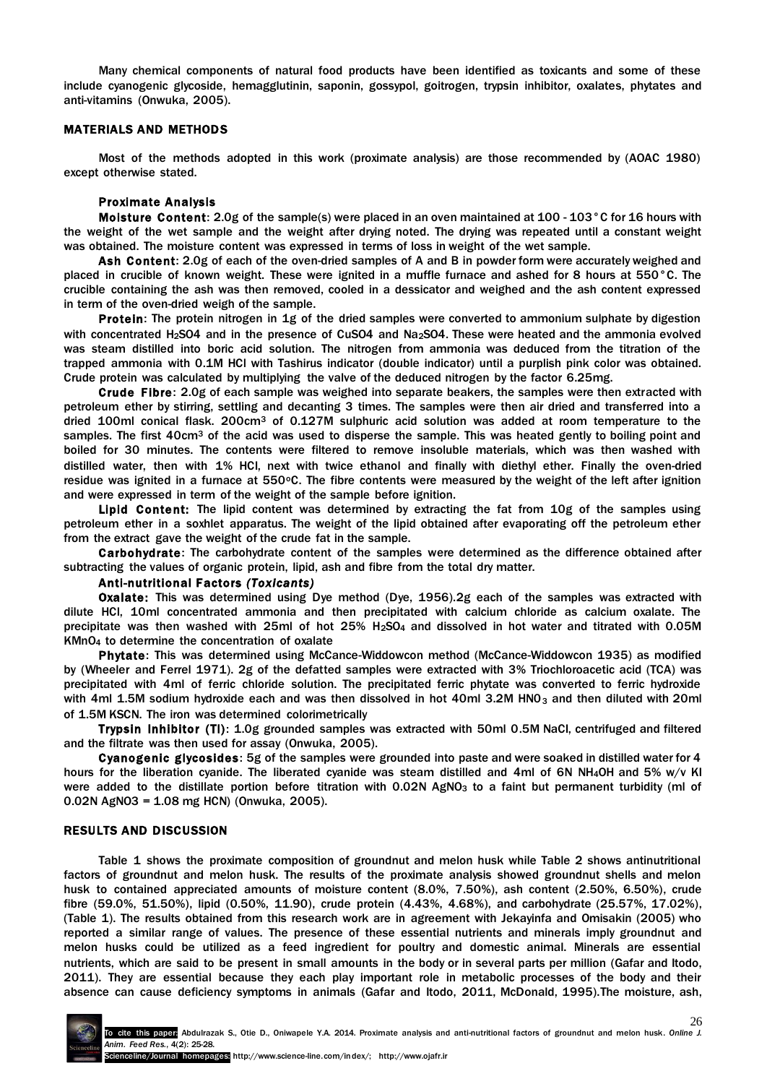Many chemical components of natural food products have been identified as toxicants and some of these include cyanogenic glycoside, hemagglutinin, saponin, gossypol, goitrogen, trypsin inhibitor, oxalates, phytates and anti-vitamins (Onwuka, 2005).

### MATERIALS AND METHODS

Most of the methods adopted in this work (proximate analysis) are those recommended by (AOAC 1980) except otherwise stated.

#### Proximate Analysis

Moisture Content: 2.0g of the sample(s) were placed in an oven maintained at 100 - 103°C for 16 hours with the weight of the wet sample and the weight after drying noted. The drying was repeated until a constant weight was obtained. The moisture content was expressed in terms of loss in weight of the wet sample.

Ash Content: 2.0g of each of the oven-dried samples of A and B in powder form were accurately weighed and placed in crucible of known weight. These were ignited in a muffle furnace and ashed for 8 hours at 550°C. The crucible containing the ash was then removed, cooled in a dessicator and weighed and the ash content expressed in term of the oven-dried weigh of the sample.

Protein: The protein nitrogen in 1g of the dried samples were converted to ammonium sulphate by digestion with concentrated H<sub>2</sub>SO4 and in the presence of CuSO4 and Na<sub>2</sub>SO4. These were heated and the ammonia evolved was steam distilled into boric acid solution. The nitrogen from ammonia was deduced from the titration of the trapped ammonia with 0.1M HCl with Tashirus indicator (double indicator) until a purplish pink color was obtained. Crude protein was calculated by multiplying the valve of the deduced nitrogen by the factor 6.25mg.

Crude Fibre: 2.0g of each sample was weighed into separate beakers, the samples were then extracted with petroleum ether by stirring, settling and decanting 3 times. The samples were then air dried and transferred into a dried 100ml conical flask. 200cm<sup>3</sup> of 0.127M sulphuric acid solution was added at room temperature to the samples. The first 40cm<sup>3</sup> of the acid was used to disperse the sample. This was heated gently to boiling point and boiled for 30 minutes. The contents were filtered to remove insoluble materials, which was then washed with distilled water, then with 1% HCI, next with twice ethanol and finally with diethyl ether. Finally the oven-dried residue was ignited in a furnace at 550°C. The fibre contents were measured by the weight of the left after ignition and were expressed in term of the weight of the sample before ignition.

Lipid Content: The lipid content was determined by extracting the fat from 10g of the samples using petroleum ether in a soxhlet apparatus. The weight of the lipid obtained after evaporating off the petroleum ether from the extract gave the weight of the crude fat in the sample.

Carbohydrate: The carbohydrate content of the samples were determined as the difference obtained after subtracting the values of organic protein, lipid, ash and fibre from the total dry matter.

# Anti-nutritional Factors *(Toxicants)*

Oxalate: This was determined using Dye method (Dye, 1956).2g each of the samples was extracted with dilute HCl, 10ml concentrated ammonia and then precipitated with calcium chloride as calcium oxalate. The precipitate was then washed with 25ml of hot 25% H<sub>2</sub>SO<sub>4</sub> and dissolved in hot water and titrated with 0.05M KMnO<sup>4</sup> to determine the concentration of oxalate

Phytate: This was determined using McCance-Widdowcon method (McCance-Widdowcon 1935) as modified by (Wheeler and Ferrel 1971). 2g of the defatted samples were extracted with 3% Triochloroacetic acid (TCA) was precipitated with 4ml of ferric chloride solution. The precipitated ferric phytate was converted to ferric hydroxide with 4ml 1.5M sodium hydroxide each and was then dissolved in hot 40ml 3.2M HN0<sub>3</sub> and then diluted with 20ml of 1.5M KSCN. The iron was determined colorimetrically

Trypsin Inhibitor (Tl): 1.0g grounded samples was extracted with 50ml 0.5M NaCI, centrifuged and filtered and the filtrate was then used for assay (Onwuka, 2005).

Cyanogenic glycosides: 5g of the samples were grounded into paste and were soaked in distilled water for 4 hours for the liberation cyanide. The liberated cyanide was steam distilled and 4ml of 6N NH<sub>4</sub>OH and 5% w/v KI were added to the distillate portion before titration with  $0.02N$  AgNO<sub>3</sub> to a faint but permanent turbidity (ml of 0.02N AgNO3 = 1.08 mg HCN) (Onwuka, 2005).

#### RESULTS AND DISCUSSION

Table 1 shows the proximate composition of groundnut and melon husk while Table 2 shows antinutritional factors of groundnut and melon husk. The results of the proximate analysis showed groundnut shells and melon husk to contained appreciated amounts of moisture content (8.0%, 7.50%), ash content (2.50%, 6.50%), crude fibre (59.0%, 51.50%), lipid (0.50%, 11.90), crude protein (4.43%, 4.68%), and carbohydrate (25.57%, 17.02%), (Table 1). The results obtained from this research work are in agreement with Jekayinfa and Omisakin (2005) who reported a similar range of values. The presence of these essential nutrients and minerals imply groundnut and melon husks could be utilized as a feed ingredient for poultry and domestic animal. Minerals are essential nutrients, which are said to be present in small amounts in the body or in several parts per million (Gafar and Itodo, 2011). They are essential because they each play important role in metabolic processes of the body and their absence can cause deficiency symptoms in animals (Gafar and Itodo, 2011, McDonald, 1995).The moisture, ash,

26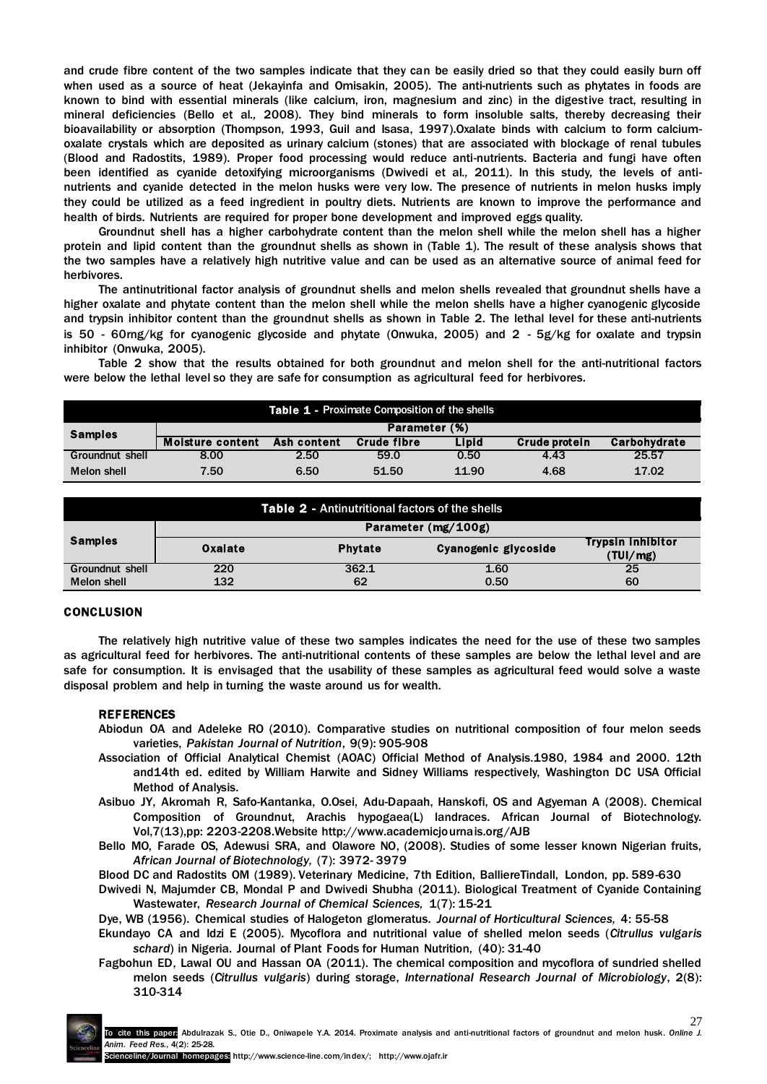and crude fibre content of the two samples indicate that they can be easily dried so that they could easily burn off when used as a source of heat (Jekayinfa and Omisakin, 2005). The anti-nutrients such as phytates in foods are known to bind with essential minerals (like calcium, iron, magnesium and zinc) in the digestive tract, resulting in mineral deficiencies (Bello et al*.,* 2008). They bind minerals to form insoluble salts, thereby decreasing their bioavailability or absorption (Thompson, 1993, Guil and Isasa, 1997).Oxalate binds with calcium to form calciumoxalate crystals which are deposited as urinary calcium (stones) that are associated with blockage of renal tubules (Blood and Radostits, 1989). Proper food processing would reduce anti-nutrients. Bacteria and fungi have often been identified as cyanide detoxifying microorganisms (Dwivedi et al*.,* 2011). In this study, the levels of antinutrients and cyanide detected in the melon husks were very low. The presence of nutrients in melon husks imply they could be utilized as a feed ingredient in poultry diets. Nutrients are known to improve the performance and health of birds. Nutrients are required for proper bone development and improved eggs quality.

Groundnut shell has a higher carbohydrate content than the melon shell while the melon shell has a higher protein and lipid content than the groundnut shells as shown in (Table 1). The result of these analysis shows that the two samples have a relatively high nutritive value and can be used as an alternative source of animal feed for herbivores.

The antinutritional factor analysis of groundnut shells and melon shells revealed that groundnut shells have a higher oxalate and phytate content than the melon shell while the melon shells have a higher cyanogenic glycoside and trypsin inhibitor content than the groundnut shells as shown in Table 2. The lethal level for these anti-nutrients is 50 - 60rng/kg for cyanogenic glycoside and phytate (Onwuka, 2005) and 2 - 5g/kg for oxalate and trypsin inhibitor (Onwuka, 2005).

Table 2 show that the results obtained for both groundnut and melon shell for the anti-nutritional factors were below the lethal level so they are safe for consumption as agricultural feed for herbivores.

| <b>Table 1 - Proximate Composition of the shells</b> |                         |             |                    |       |               |              |  |  |
|------------------------------------------------------|-------------------------|-------------|--------------------|-------|---------------|--------------|--|--|
| <b>Samples</b>                                       | Parameter (%)           |             |                    |       |               |              |  |  |
|                                                      | <b>Moisture content</b> | Ash content | <b>Crude fibre</b> | Lipid | Crude protein | Carbohydrate |  |  |
| Groundnut shell                                      | 8.00                    | 2.50        | 59.0               | 0.50  | 4.43          | 25.57        |  |  |
| Melon shell                                          | 7.50                    | 6.50        | 51.50              | 11.90 | 4.68          | 17.02        |  |  |

| Table 2 - Antinutritional factors of the shells |                     |                |                      |                                      |  |  |  |  |
|-------------------------------------------------|---------------------|----------------|----------------------|--------------------------------------|--|--|--|--|
| <b>Samples</b>                                  | Parameter (mg/100g) |                |                      |                                      |  |  |  |  |
|                                                 | Oxalate             | <b>Phytate</b> | Cyanogenic glycoside | <b>Trypsin inhibitor</b><br>(TUI/mg) |  |  |  |  |
| <b>Groundnut shell</b>                          | 220                 | 362.1          | 1.60                 | 25                                   |  |  |  |  |
| Melon shell                                     | 132                 | 62             | 0.50                 | 60                                   |  |  |  |  |

# CONCLUSION

The relatively high nutritive value of these two samples indicates the need for the use of these two samples as agricultural feed for herbivores. The anti-nutritional contents of these samples are below the lethal level and are safe for consumption. It is envisaged that the usability of these samples as agricultural feed would solve a waste disposal problem and help in turning the waste around us for wealth.

## REFERENCES

- Abiodun OA and Adeleke RO (2010). Comparative studies on nutritional composition of four melon seeds varieties, *Pakistan Journal of Nutrition*, 9(9): 905-908
- Association of Official Analytical Chemist (AOAC) Official Method of Analysis.1980, 1984 and 2000. 12th and14th ed. edited by William Harwite and Sidney Williams respectively, Washington DC USA Official Method of Analysis.
- Asibuo JY, Akromah R, Safo-Kantanka, O.Osei, Adu-Dapaah, Hanskofi, OS and Agyeman A (2008). Chemical Composition of Groundnut, Arachis hypogaea(L) landraces. African Journal of Biotechnology. Vol,7(13),pp: 2203-2208.Website http://www.academicjournais.org/AJB
- Bello MO, Farade OS, Adewusi SRA, and Olawore NO, (2008). Studies of some lesser known Nigerian fruits, *African Journal of Biotechnology,* (7): 3972- 3979
- Blood DC and Radostits OM (1989). Veterinary Medicine, 7th Edition, BalliereTindall, London, pp. 589-630
- Dwivedi N, Majumder CB, Mondal P and Dwivedi Shubha (2011). Biological Treatment of Cyanide Containing Wastewater, *Research Journal of Chemical Sciences,* 1(7): 15-21

Dye, WB (1956). Chemical studies of Halogeton glomeratus. *Journal of Horticultural Sciences,* 4: 55-58

- Ekundayo CA and Idzi E (2005). Mycoflora and nutritional value of shelled melon seeds (*Citrullus vulgaris schard*) in Nigeria. Journal of Plant Foods for Human Nutrition, (40): 31-40
- Fagbohun ED, Lawal OU and Hassan OA (2011). The chemical composition and mycoflora of sundried shelled melon seeds (*Citrullus vulgaris*) during storage, *International Research Journal of Microbiology*, 2(8): 310-314